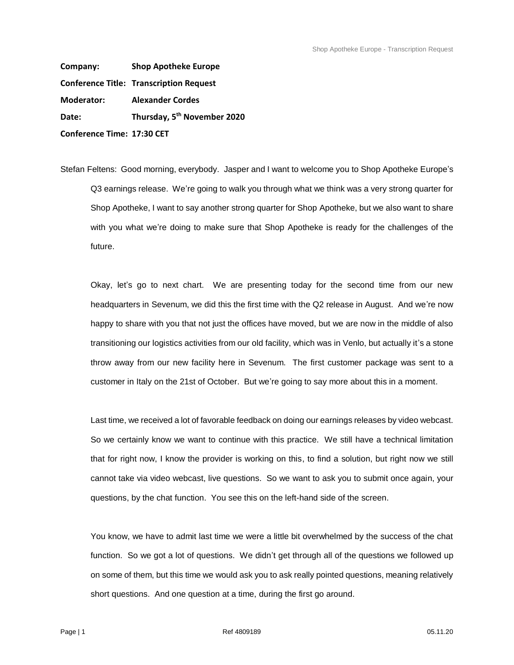**Company: Shop Apotheke Europe Conference Title: Transcription Request Moderator: Alexander Cordes Date: Thursday, 5 th November 2020 Conference Time: 17:30 CET**

Stefan Feltens: Good morning, everybody. Jasper and I want to welcome you to Shop Apotheke Europe's Q3 earnings release. We're going to walk you through what we think was a very strong quarter for Shop Apotheke, I want to say another strong quarter for Shop Apotheke, but we also want to share with you what we're doing to make sure that Shop Apotheke is ready for the challenges of the future.

Okay, let's go to next chart. We are presenting today for the second time from our new headquarters in Sevenum, we did this the first time with the Q2 release in August. And we're now happy to share with you that not just the offices have moved, but we are now in the middle of also transitioning our logistics activities from our old facility, which was in Venlo, but actually it's a stone throw away from our new facility here in Sevenum. The first customer package was sent to a customer in Italy on the 21st of October. But we're going to say more about this in a moment.

Last time, we received a lot of favorable feedback on doing our earnings releases by video webcast. So we certainly know we want to continue with this practice. We still have a technical limitation that for right now, I know the provider is working on this, to find a solution, but right now we still cannot take via video webcast, live questions. So we want to ask you to submit once again, your questions, by the chat function. You see this on the left-hand side of the screen.

You know, we have to admit last time we were a little bit overwhelmed by the success of the chat function. So we got a lot of questions. We didn't get through all of the questions we followed up on some of them, but this time we would ask you to ask really pointed questions, meaning relatively short questions. And one question at a time, during the first go around.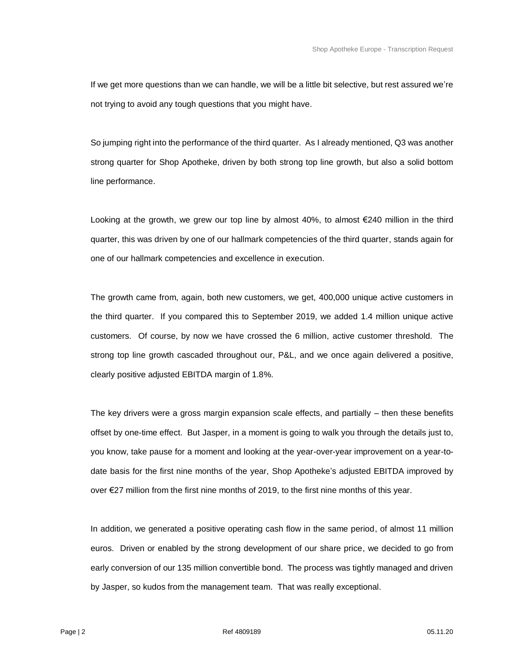If we get more questions than we can handle, we will be a little bit selective, but rest assured we're not trying to avoid any tough questions that you might have.

So jumping right into the performance of the third quarter. As I already mentioned, Q3 was another strong quarter for Shop Apotheke, driven by both strong top line growth, but also a solid bottom line performance.

Looking at the growth, we grew our top line by almost 40%, to almost €240 million in the third quarter, this was driven by one of our hallmark competencies of the third quarter, stands again for one of our hallmark competencies and excellence in execution.

The growth came from, again, both new customers, we get, 400,000 unique active customers in the third quarter. If you compared this to September 2019, we added 1.4 million unique active customers. Of course, by now we have crossed the 6 million, active customer threshold. The strong top line growth cascaded throughout our, P&L, and we once again delivered a positive, clearly positive adjusted EBITDA margin of 1.8%.

The key drivers were a gross margin expansion scale effects, and partially  $-$  then these benefits offset by one-time effect. But Jasper, in a moment is going to walk you through the details just to, you know, take pause for a moment and looking at the year-over-year improvement on a year-todate basis for the first nine months of the year, Shop Apotheke's adjusted EBITDA improved by over €27 million from the first nine months of 2019, to the first nine months of this year.

In addition, we generated a positive operating cash flow in the same period, of almost 11 million euros. Driven or enabled by the strong development of our share price, we decided to go from early conversion of our 135 million convertible bond. The process was tightly managed and driven by Jasper, so kudos from the management team. That was really exceptional.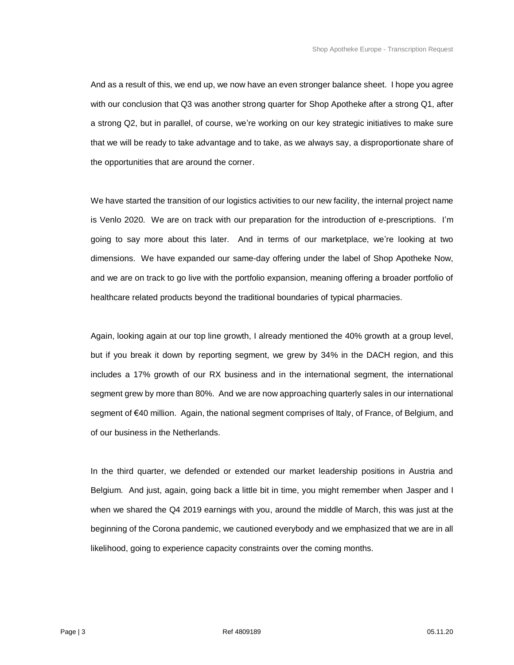And as a result of this, we end up, we now have an even stronger balance sheet. I hope you agree with our conclusion that Q3 was another strong quarter for Shop Apotheke after a strong Q1, after a strong Q2, but in parallel, of course, we're working on our key strategic initiatives to make sure that we will be ready to take advantage and to take, as we always say, a disproportionate share of the opportunities that are around the corner.

We have started the transition of our logistics activities to our new facility, the internal project name is Venlo 2020. We are on track with our preparation for the introduction of e-prescriptions. I'm going to say more about this later. And in terms of our marketplace, we're looking at two dimensions. We have expanded our same-day offering under the label of Shop Apotheke Now, and we are on track to go live with the portfolio expansion, meaning offering a broader portfolio of healthcare related products beyond the traditional boundaries of typical pharmacies.

Again, looking again at our top line growth, I already mentioned the 40% growth at a group level, but if you break it down by reporting segment, we grew by 34% in the DACH region, and this includes a 17% growth of our RX business and in the international segment, the international segment grew by more than 80%. And we are now approaching quarterly sales in our international segment of €40 million. Again, the national segment comprises of Italy, of France, of Belgium, and of our business in the Netherlands.

In the third quarter, we defended or extended our market leadership positions in Austria and Belgium. And just, again, going back a little bit in time, you might remember when Jasper and I when we shared the Q4 2019 earnings with you, around the middle of March, this was just at the beginning of the Corona pandemic, we cautioned everybody and we emphasized that we are in all likelihood, going to experience capacity constraints over the coming months.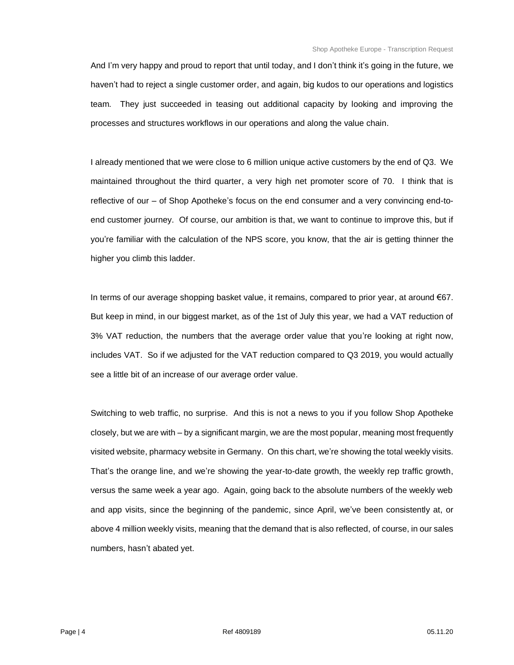And I'm very happy and proud to report that until today, and I don't think it's going in the future, we haven't had to reject a single customer order, and again, big kudos to our operations and logistics team. They just succeeded in teasing out additional capacity by looking and improving the processes and structures workflows in our operations and along the value chain.

I already mentioned that we were close to 6 million unique active customers by the end of Q3. We maintained throughout the third quarter, a very high net promoter score of 70. I think that is reflective of our – of Shop Apotheke's focus on the end consumer and a very convincing end-toend customer journey. Of course, our ambition is that, we want to continue to improve this, but if you're familiar with the calculation of the NPS score, you know, that the air is getting thinner the higher you climb this ladder.

In terms of our average shopping basket value, it remains, compared to prior year, at around €67. But keep in mind, in our biggest market, as of the 1st of July this year, we had a VAT reduction of 3% VAT reduction, the numbers that the average order value that you're looking at right now, includes VAT. So if we adjusted for the VAT reduction compared to Q3 2019, you would actually see a little bit of an increase of our average order value.

Switching to web traffic, no surprise. And this is not a news to you if you follow Shop Apotheke closely, but we are with – by a significant margin, we are the most popular, meaning most frequently visited website, pharmacy website in Germany. On this chart, we're showing the total weekly visits. That's the orange line, and we're showing the year-to-date growth, the weekly rep traffic growth, versus the same week a year ago. Again, going back to the absolute numbers of the weekly web and app visits, since the beginning of the pandemic, since April, we've been consistently at, or above 4 million weekly visits, meaning that the demand that is also reflected, of course, in our sales numbers, hasn't abated yet.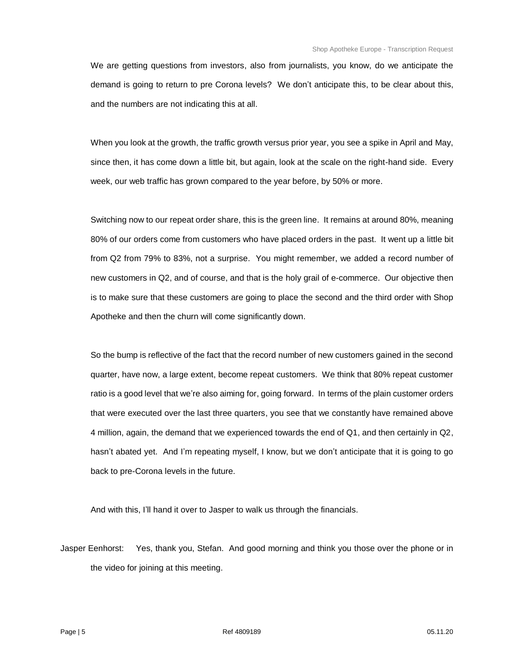We are getting questions from investors, also from journalists, you know, do we anticipate the demand is going to return to pre Corona levels? We don't anticipate this, to be clear about this, and the numbers are not indicating this at all.

When you look at the growth, the traffic growth versus prior year, you see a spike in April and May, since then, it has come down a little bit, but again, look at the scale on the right-hand side. Every week, our web traffic has grown compared to the year before, by 50% or more.

Switching now to our repeat order share, this is the green line. It remains at around 80%, meaning 80% of our orders come from customers who have placed orders in the past. It went up a little bit from Q2 from 79% to 83%, not a surprise. You might remember, we added a record number of new customers in Q2, and of course, and that is the holy grail of e-commerce. Our objective then is to make sure that these customers are going to place the second and the third order with Shop Apotheke and then the churn will come significantly down.

So the bump is reflective of the fact that the record number of new customers gained in the second quarter, have now, a large extent, become repeat customers. We think that 80% repeat customer ratio is a good level that we're also aiming for, going forward. In terms of the plain customer orders that were executed over the last three quarters, you see that we constantly have remained above 4 million, again, the demand that we experienced towards the end of Q1, and then certainly in Q2, hasn't abated yet. And I'm repeating myself, I know, but we don't anticipate that it is going to go back to pre-Corona levels in the future.

And with this, I'll hand it over to Jasper to walk us through the financials.

Jasper Eenhorst: Yes, thank you, Stefan. And good morning and think you those over the phone or in the video for joining at this meeting.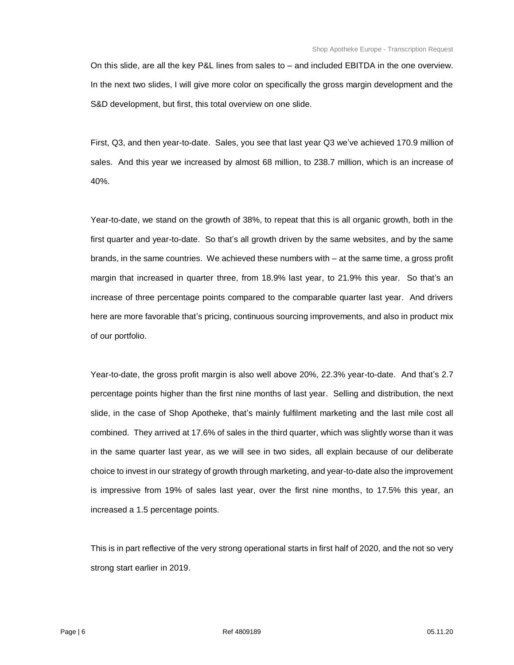On this slide, are all the key P&L lines from sales to – and included EBITDA in the one overview. In the next two slides, I will give more color on specifically the gross margin development and the S&D development, but first, this total overview on one slide.

First, Q3, and then year-to-date. Sales, you see that last year Q3 we've achieved 170.9 million of sales. And this year we increased by almost 68 million, to 238.7 million, which is an increase of 40%.

Year-to-date, we stand on the growth of 38%, to repeat that this is all organic growth, both in the first quarter and year-to-date. So that's all growth driven by the same websites, and by the same brands, in the same countries. We achieved these numbers with – at the same time, a gross profit margin that increased in quarter three, from 18.9% last year, to 21.9% this year. So that's an increase of three percentage points compared to the comparable quarter last year. And drivers here are more favorable that's pricing, continuous sourcing improvements, and also in product mix of our portfolio.

Year-to-date, the gross profit margin is also well above 20%, 22.3% year-to-date. And that's 2.7 percentage points higher than the first nine months of last year. Selling and distribution, the next slide, in the case of Shop Apotheke, that's mainly fulfilment marketing and the last mile cost all combined. They arrived at 17.6% of sales in the third quarter, which was slightly worse than it was in the same quarter last year, as we will see in two sides, all explain because of our deliberate choice to invest in our strategy of growth through marketing, and year-to-date also the improvement is impressive from 19% of sales last year, over the first nine months, to 17.5% this year, an increased a 1.5 percentage points.

This is in part reflective of the very strong operational starts in first half of 2020, and the not so very strong start earlier in 2019.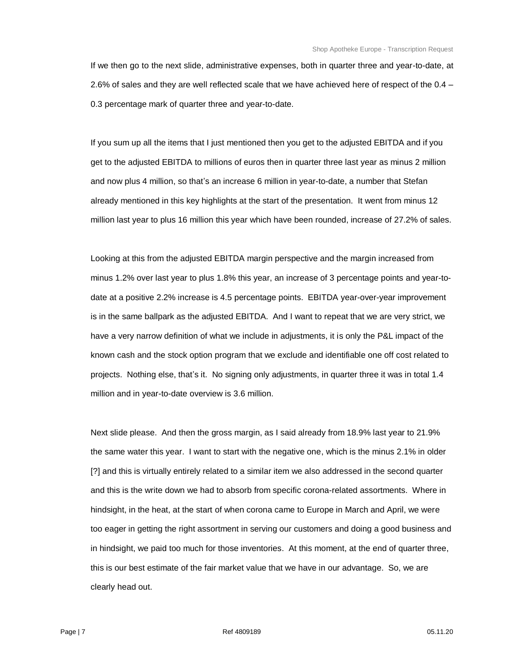If we then go to the next slide, administrative expenses, both in quarter three and year-to-date, at 2.6% of sales and they are well reflected scale that we have achieved here of respect of the 0.4 – 0.3 percentage mark of quarter three and year-to-date.

If you sum up all the items that I just mentioned then you get to the adjusted EBITDA and if you get to the adjusted EBITDA to millions of euros then in quarter three last year as minus 2 million and now plus 4 million, so that's an increase 6 million in year-to-date, a number that Stefan already mentioned in this key highlights at the start of the presentation. It went from minus 12 million last year to plus 16 million this year which have been rounded, increase of 27.2% of sales.

Looking at this from the adjusted EBITDA margin perspective and the margin increased from minus 1.2% over last year to plus 1.8% this year, an increase of 3 percentage points and year-todate at a positive 2.2% increase is 4.5 percentage points. EBITDA year-over-year improvement is in the same ballpark as the adjusted EBITDA. And I want to repeat that we are very strict, we have a very narrow definition of what we include in adjustments, it is only the P&L impact of the known cash and the stock option program that we exclude and identifiable one off cost related to projects. Nothing else, that's it. No signing only adjustments, in quarter three it was in total 1.4 million and in year-to-date overview is 3.6 million.

Next slide please. And then the gross margin, as I said already from 18.9% last year to 21.9% the same water this year. I want to start with the negative one, which is the minus 2.1% in older [?] and this is virtually entirely related to a similar item we also addressed in the second quarter and this is the write down we had to absorb from specific corona-related assortments. Where in hindsight, in the heat, at the start of when corona came to Europe in March and April, we were too eager in getting the right assortment in serving our customers and doing a good business and in hindsight, we paid too much for those inventories. At this moment, at the end of quarter three, this is our best estimate of the fair market value that we have in our advantage. So, we are clearly head out.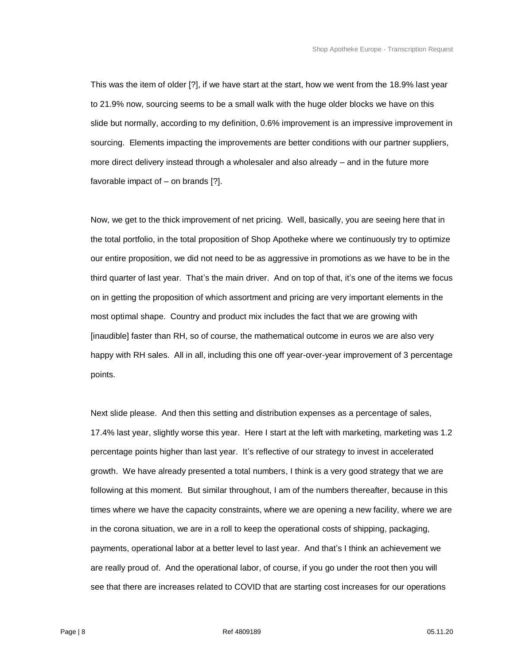This was the item of older [?], if we have start at the start, how we went from the 18.9% last year to 21.9% now, sourcing seems to be a small walk with the huge older blocks we have on this slide but normally, according to my definition, 0.6% improvement is an impressive improvement in sourcing. Elements impacting the improvements are better conditions with our partner suppliers, more direct delivery instead through a wholesaler and also already – and in the future more favorable impact of – on brands [?].

Now, we get to the thick improvement of net pricing. Well, basically, you are seeing here that in the total portfolio, in the total proposition of Shop Apotheke where we continuously try to optimize our entire proposition, we did not need to be as aggressive in promotions as we have to be in the third quarter of last year. That's the main driver. And on top of that, it's one of the items we focus on in getting the proposition of which assortment and pricing are very important elements in the most optimal shape. Country and product mix includes the fact that we are growing with [inaudible] faster than RH, so of course, the mathematical outcome in euros we are also very happy with RH sales. All in all, including this one off year-over-year improvement of 3 percentage points.

Next slide please. And then this setting and distribution expenses as a percentage of sales, 17.4% last year, slightly worse this year. Here I start at the left with marketing, marketing was 1.2 percentage points higher than last year. It's reflective of our strategy to invest in accelerated growth. We have already presented a total numbers, I think is a very good strategy that we are following at this moment. But similar throughout, I am of the numbers thereafter, because in this times where we have the capacity constraints, where we are opening a new facility, where we are in the corona situation, we are in a roll to keep the operational costs of shipping, packaging, payments, operational labor at a better level to last year. And that's I think an achievement we are really proud of. And the operational labor, of course, if you go under the root then you will see that there are increases related to COVID that are starting cost increases for our operations

Page | 8 Ref 4809189 05.11.20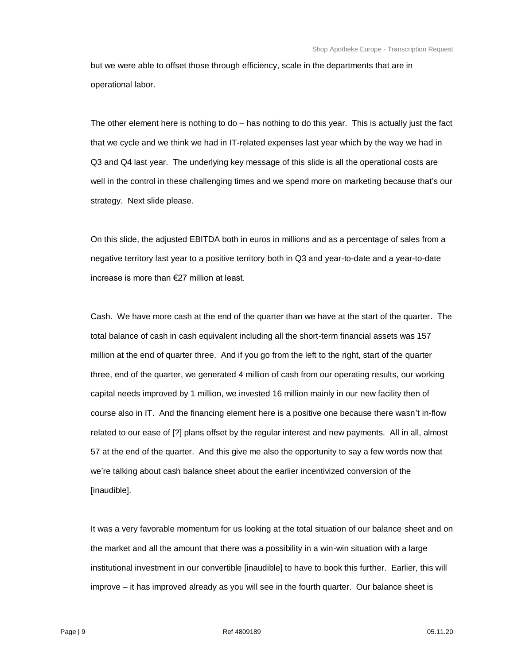but we were able to offset those through efficiency, scale in the departments that are in operational labor.

The other element here is nothing to do – has nothing to do this year. This is actually just the fact that we cycle and we think we had in IT-related expenses last year which by the way we had in Q3 and Q4 last year. The underlying key message of this slide is all the operational costs are well in the control in these challenging times and we spend more on marketing because that's our strategy. Next slide please.

On this slide, the adjusted EBITDA both in euros in millions and as a percentage of sales from a negative territory last year to a positive territory both in Q3 and year-to-date and a year-to-date increase is more than €27 million at least.

Cash. We have more cash at the end of the quarter than we have at the start of the quarter. The total balance of cash in cash equivalent including all the short-term financial assets was 157 million at the end of quarter three. And if you go from the left to the right, start of the quarter three, end of the quarter, we generated 4 million of cash from our operating results, our working capital needs improved by 1 million, we invested 16 million mainly in our new facility then of course also in IT. And the financing element here is a positive one because there wasn't in-flow related to our ease of [?] plans offset by the regular interest and new payments. All in all, almost 57 at the end of the quarter. And this give me also the opportunity to say a few words now that we're talking about cash balance sheet about the earlier incentivized conversion of the [inaudible].

It was a very favorable momentum for us looking at the total situation of our balance sheet and on the market and all the amount that there was a possibility in a win-win situation with a large institutional investment in our convertible [inaudible] to have to book this further. Earlier, this will improve – it has improved already as you will see in the fourth quarter. Our balance sheet is

Page | 9 Ref 4809189 05.11.20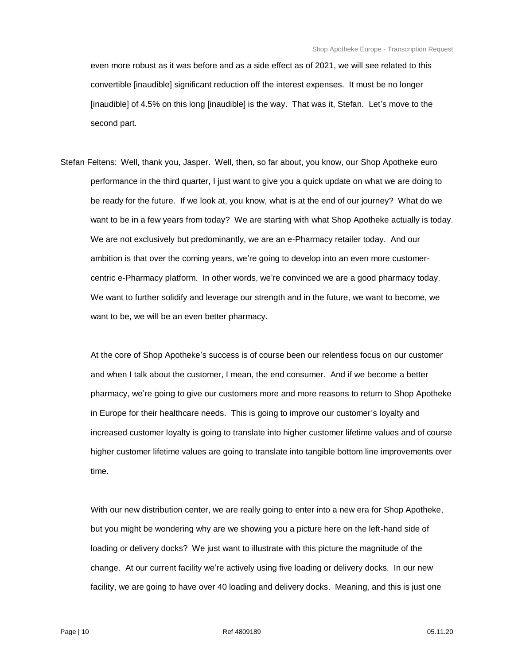even more robust as it was before and as a side effect as of 2021, we will see related to this convertible [inaudible] significant reduction off the interest expenses. It must be no longer [inaudible] of 4.5% on this long [inaudible] is the way. That was it, Stefan. Let's move to the second part.

Stefan Feltens: Well, thank you, Jasper. Well, then, so far about, you know, our Shop Apotheke euro performance in the third quarter, I just want to give you a quick update on what we are doing to be ready for the future. If we look at, you know, what is at the end of our journey? What do we want to be in a few years from today? We are starting with what Shop Apotheke actually is today. We are not exclusively but predominantly, we are an e-Pharmacy retailer today. And our ambition is that over the coming years, we're going to develop into an even more customercentric e-Pharmacy platform. In other words, we're convinced we are a good pharmacy today. We want to further solidify and leverage our strength and in the future, we want to become, we want to be, we will be an even better pharmacy.

At the core of Shop Apotheke's success is of course been our relentless focus on our customer and when I talk about the customer, I mean, the end consumer. And if we become a better pharmacy, we're going to give our customers more and more reasons to return to Shop Apotheke in Europe for their healthcare needs. This is going to improve our customer's loyalty and increased customer loyalty is going to translate into higher customer lifetime values and of course higher customer lifetime values are going to translate into tangible bottom line improvements over time.

With our new distribution center, we are really going to enter into a new era for Shop Apotheke, but you might be wondering why are we showing you a picture here on the left-hand side of loading or delivery docks? We just want to illustrate with this picture the magnitude of the change. At our current facility we're actively using five loading or delivery docks. In our new facility, we are going to have over 40 loading and delivery docks. Meaning, and this is just one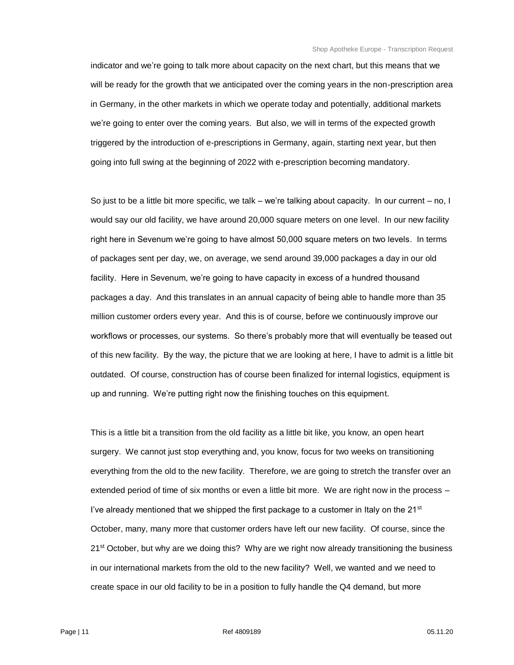indicator and we're going to talk more about capacity on the next chart, but this means that we will be ready for the growth that we anticipated over the coming years in the non-prescription area in Germany, in the other markets in which we operate today and potentially, additional markets we're going to enter over the coming years. But also, we will in terms of the expected growth triggered by the introduction of e-prescriptions in Germany, again, starting next year, but then going into full swing at the beginning of 2022 with e-prescription becoming mandatory.

So just to be a little bit more specific, we talk – we're talking about capacity. In our current – no, I would say our old facility, we have around 20,000 square meters on one level. In our new facility right here in Sevenum we're going to have almost 50,000 square meters on two levels. In terms of packages sent per day, we, on average, we send around 39,000 packages a day in our old facility. Here in Sevenum, we're going to have capacity in excess of a hundred thousand packages a day. And this translates in an annual capacity of being able to handle more than 35 million customer orders every year. And this is of course, before we continuously improve our workflows or processes, our systems. So there's probably more that will eventually be teased out of this new facility. By the way, the picture that we are looking at here, I have to admit is a little bit outdated. Of course, construction has of course been finalized for internal logistics, equipment is up and running. We're putting right now the finishing touches on this equipment.

This is a little bit a transition from the old facility as a little bit like, you know, an open heart surgery. We cannot just stop everything and, you know, focus for two weeks on transitioning everything from the old to the new facility. Therefore, we are going to stretch the transfer over an extended period of time of six months or even a little bit more. We are right now in the process – I've already mentioned that we shipped the first package to a customer in Italy on the 21<sup>st</sup> October, many, many more that customer orders have left our new facility. Of course, since the 21<sup>st</sup> October, but why are we doing this? Why are we right now already transitioning the business in our international markets from the old to the new facility? Well, we wanted and we need to create space in our old facility to be in a position to fully handle the Q4 demand, but more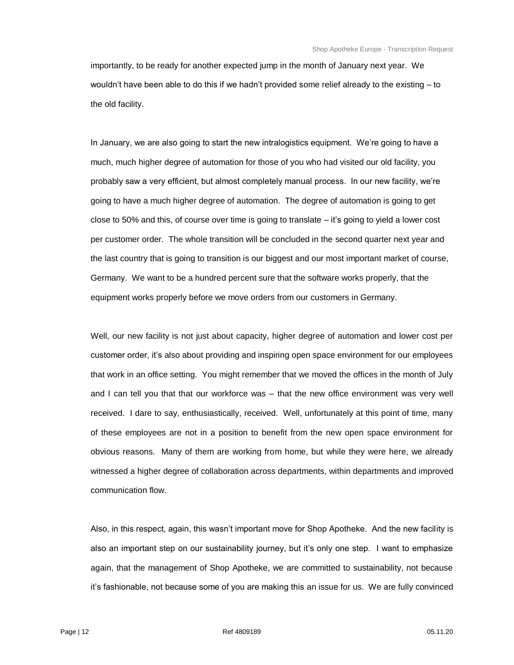importantly, to be ready for another expected jump in the month of January next year. We wouldn't have been able to do this if we hadn't provided some relief already to the existing – to the old facility.

In January, we are also going to start the new intralogistics equipment. We're going to have a much, much higher degree of automation for those of you who had visited our old facility, you probably saw a very efficient, but almost completely manual process. In our new facility, we're going to have a much higher degree of automation. The degree of automation is going to get close to 50% and this, of course over time is going to translate – it's going to yield a lower cost per customer order. The whole transition will be concluded in the second quarter next year and the last country that is going to transition is our biggest and our most important market of course, Germany. We want to be a hundred percent sure that the software works properly, that the equipment works properly before we move orders from our customers in Germany.

Well, our new facility is not just about capacity, higher degree of automation and lower cost per customer order, it's also about providing and inspiring open space environment for our employees that work in an office setting. You might remember that we moved the offices in the month of July and I can tell you that that our workforce was – that the new office environment was very well received. I dare to say, enthusiastically, received. Well, unfortunately at this point of time, many of these employees are not in a position to benefit from the new open space environment for obvious reasons. Many of them are working from home, but while they were here, we already witnessed a higher degree of collaboration across departments, within departments and improved communication flow.

Also, in this respect, again, this wasn't important move for Shop Apotheke. And the new facility is also an important step on our sustainability journey, but it's only one step. I want to emphasize again, that the management of Shop Apotheke, we are committed to sustainability, not because it's fashionable, not because some of you are making this an issue for us. We are fully convinced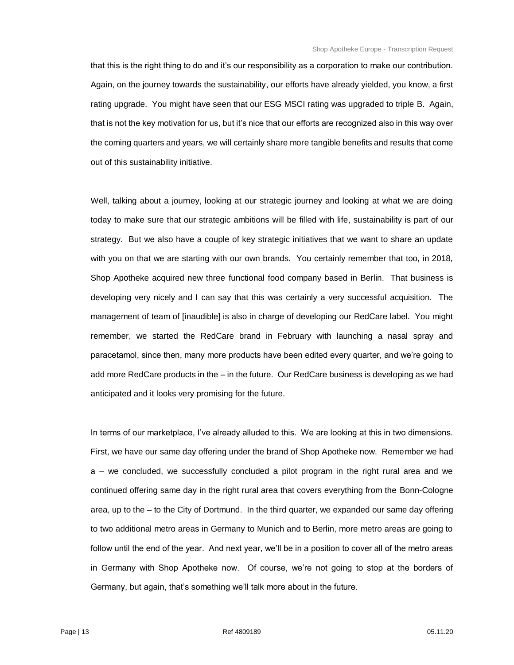that this is the right thing to do and it's our responsibility as a corporation to make our contribution. Again, on the journey towards the sustainability, our efforts have already yielded, you know, a first rating upgrade. You might have seen that our ESG MSCI rating was upgraded to triple B. Again, that is not the key motivation for us, but it's nice that our efforts are recognized also in this way over the coming quarters and years, we will certainly share more tangible benefits and results that come out of this sustainability initiative.

Well, talking about a journey, looking at our strategic journey and looking at what we are doing today to make sure that our strategic ambitions will be filled with life, sustainability is part of our strategy. But we also have a couple of key strategic initiatives that we want to share an update with you on that we are starting with our own brands. You certainly remember that too, in 2018, Shop Apotheke acquired new three functional food company based in Berlin. That business is developing very nicely and I can say that this was certainly a very successful acquisition. The management of team of [inaudible] is also in charge of developing our RedCare label. You might remember, we started the RedCare brand in February with launching a nasal spray and paracetamol, since then, many more products have been edited every quarter, and we're going to add more RedCare products in the – in the future. Our RedCare business is developing as we had anticipated and it looks very promising for the future.

In terms of our marketplace, I've already alluded to this. We are looking at this in two dimensions. First, we have our same day offering under the brand of Shop Apotheke now. Remember we had a – we concluded, we successfully concluded a pilot program in the right rural area and we continued offering same day in the right rural area that covers everything from the Bonn-Cologne area, up to the – to the City of Dortmund. In the third quarter, we expanded our same day offering to two additional metro areas in Germany to Munich and to Berlin, more metro areas are going to follow until the end of the year. And next year, we'll be in a position to cover all of the metro areas in Germany with Shop Apotheke now. Of course, we're not going to stop at the borders of Germany, but again, that's something we'll talk more about in the future.

Page | 13 Ref 4809189 05.11.20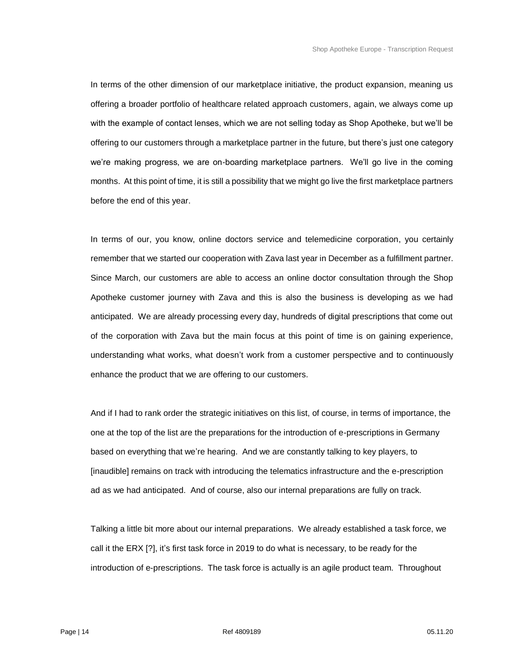In terms of the other dimension of our marketplace initiative, the product expansion, meaning us offering a broader portfolio of healthcare related approach customers, again, we always come up with the example of contact lenses, which we are not selling today as Shop Apotheke, but we'll be offering to our customers through a marketplace partner in the future, but there's just one category we're making progress, we are on-boarding marketplace partners. We'll go live in the coming months. At this point of time, it is still a possibility that we might go live the first marketplace partners before the end of this year.

In terms of our, you know, online doctors service and telemedicine corporation, you certainly remember that we started our cooperation with Zava last year in December as a fulfillment partner. Since March, our customers are able to access an online doctor consultation through the Shop Apotheke customer journey with Zava and this is also the business is developing as we had anticipated. We are already processing every day, hundreds of digital prescriptions that come out of the corporation with Zava but the main focus at this point of time is on gaining experience, understanding what works, what doesn't work from a customer perspective and to continuously enhance the product that we are offering to our customers.

And if I had to rank order the strategic initiatives on this list, of course, in terms of importance, the one at the top of the list are the preparations for the introduction of e-prescriptions in Germany based on everything that we're hearing. And we are constantly talking to key players, to [inaudible] remains on track with introducing the telematics infrastructure and the e-prescription ad as we had anticipated. And of course, also our internal preparations are fully on track.

Talking a little bit more about our internal preparations. We already established a task force, we call it the ERX [?], it's first task force in 2019 to do what is necessary, to be ready for the introduction of e-prescriptions. The task force is actually is an agile product team. Throughout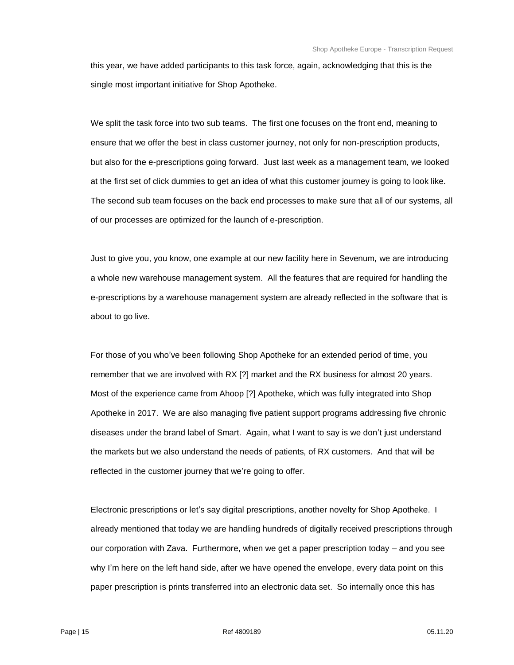this year, we have added participants to this task force, again, acknowledging that this is the single most important initiative for Shop Apotheke.

We split the task force into two sub teams. The first one focuses on the front end, meaning to ensure that we offer the best in class customer journey, not only for non-prescription products, but also for the e-prescriptions going forward. Just last week as a management team, we looked at the first set of click dummies to get an idea of what this customer journey is going to look like. The second sub team focuses on the back end processes to make sure that all of our systems, all of our processes are optimized for the launch of e-prescription.

Just to give you, you know, one example at our new facility here in Sevenum, we are introducing a whole new warehouse management system. All the features that are required for handling the e-prescriptions by a warehouse management system are already reflected in the software that is about to go live.

For those of you who've been following Shop Apotheke for an extended period of time, you remember that we are involved with RX [?] market and the RX business for almost 20 years. Most of the experience came from Ahoop [?] Apotheke, which was fully integrated into Shop Apotheke in 2017. We are also managing five patient support programs addressing five chronic diseases under the brand label of Smart. Again, what I want to say is we don't just understand the markets but we also understand the needs of patients, of RX customers. And that will be reflected in the customer journey that we're going to offer.

Electronic prescriptions or let's say digital prescriptions, another novelty for Shop Apotheke. I already mentioned that today we are handling hundreds of digitally received prescriptions through our corporation with Zava. Furthermore, when we get a paper prescription today – and you see why I'm here on the left hand side, after we have opened the envelope, every data point on this paper prescription is prints transferred into an electronic data set. So internally once this has

Page | 15 Ref 4809189 05.11.20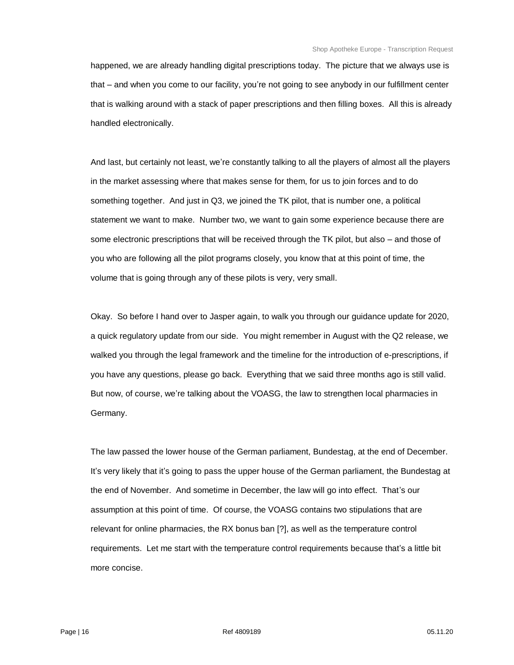happened, we are already handling digital prescriptions today. The picture that we always use is that – and when you come to our facility, you're not going to see anybody in our fulfillment center that is walking around with a stack of paper prescriptions and then filling boxes. All this is already handled electronically.

And last, but certainly not least, we're constantly talking to all the players of almost all the players in the market assessing where that makes sense for them, for us to join forces and to do something together. And just in Q3, we joined the TK pilot, that is number one, a political statement we want to make. Number two, we want to gain some experience because there are some electronic prescriptions that will be received through the TK pilot, but also – and those of you who are following all the pilot programs closely, you know that at this point of time, the volume that is going through any of these pilots is very, very small.

Okay. So before I hand over to Jasper again, to walk you through our guidance update for 2020, a quick regulatory update from our side. You might remember in August with the Q2 release, we walked you through the legal framework and the timeline for the introduction of e-prescriptions, if you have any questions, please go back. Everything that we said three months ago is still valid. But now, of course, we're talking about the VOASG, the law to strengthen local pharmacies in Germany.

The law passed the lower house of the German parliament, Bundestag, at the end of December. It's very likely that it's going to pass the upper house of the German parliament, the Bundestag at the end of November. And sometime in December, the law will go into effect. That's our assumption at this point of time. Of course, the VOASG contains two stipulations that are relevant for online pharmacies, the RX bonus ban [?], as well as the temperature control requirements. Let me start with the temperature control requirements because that's a little bit more concise.

Page | 16 Ref 4809189 05.11.20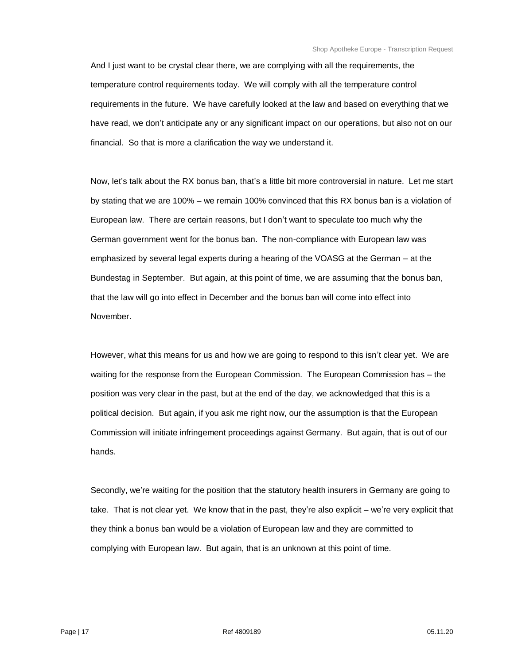And I just want to be crystal clear there, we are complying with all the requirements, the temperature control requirements today. We will comply with all the temperature control requirements in the future. We have carefully looked at the law and based on everything that we have read, we don't anticipate any or any significant impact on our operations, but also not on our financial. So that is more a clarification the way we understand it.

Now, let's talk about the RX bonus ban, that's a little bit more controversial in nature. Let me start by stating that we are 100% – we remain 100% convinced that this RX bonus ban is a violation of European law. There are certain reasons, but I don't want to speculate too much why the German government went for the bonus ban. The non-compliance with European law was emphasized by several legal experts during a hearing of the VOASG at the German – at the Bundestag in September. But again, at this point of time, we are assuming that the bonus ban, that the law will go into effect in December and the bonus ban will come into effect into November.

However, what this means for us and how we are going to respond to this isn't clear yet. We are waiting for the response from the European Commission. The European Commission has – the position was very clear in the past, but at the end of the day, we acknowledged that this is a political decision. But again, if you ask me right now, our the assumption is that the European Commission will initiate infringement proceedings against Germany. But again, that is out of our hands.

Secondly, we're waiting for the position that the statutory health insurers in Germany are going to take. That is not clear yet. We know that in the past, they're also explicit – we're very explicit that they think a bonus ban would be a violation of European law and they are committed to complying with European law. But again, that is an unknown at this point of time.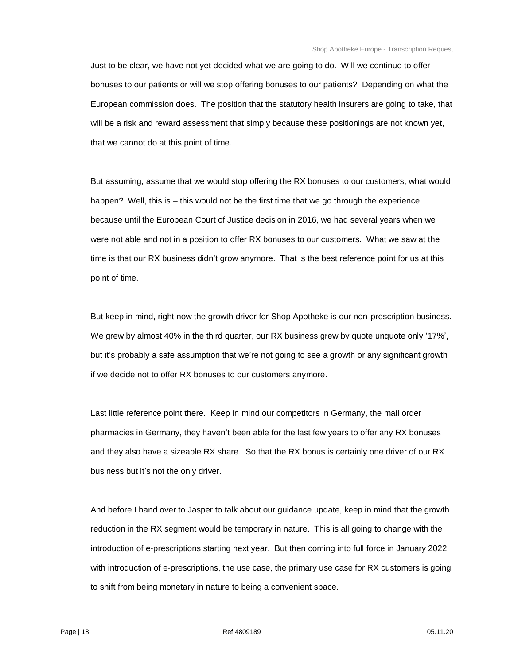Just to be clear, we have not yet decided what we are going to do. Will we continue to offer bonuses to our patients or will we stop offering bonuses to our patients? Depending on what the European commission does. The position that the statutory health insurers are going to take, that will be a risk and reward assessment that simply because these positionings are not known yet, that we cannot do at this point of time.

But assuming, assume that we would stop offering the RX bonuses to our customers, what would happen? Well, this is – this would not be the first time that we go through the experience because until the European Court of Justice decision in 2016, we had several years when we were not able and not in a position to offer RX bonuses to our customers. What we saw at the time is that our RX business didn't grow anymore. That is the best reference point for us at this point of time.

But keep in mind, right now the growth driver for Shop Apotheke is our non-prescription business. We grew by almost 40% in the third quarter, our RX business grew by quote unquote only '17%', but it's probably a safe assumption that we're not going to see a growth or any significant growth if we decide not to offer RX bonuses to our customers anymore.

Last little reference point there. Keep in mind our competitors in Germany, the mail order pharmacies in Germany, they haven't been able for the last few years to offer any RX bonuses and they also have a sizeable RX share. So that the RX bonus is certainly one driver of our RX business but it's not the only driver.

And before I hand over to Jasper to talk about our guidance update, keep in mind that the growth reduction in the RX segment would be temporary in nature. This is all going to change with the introduction of e-prescriptions starting next year. But then coming into full force in January 2022 with introduction of e-prescriptions, the use case, the primary use case for RX customers is going to shift from being monetary in nature to being a convenient space.

Page | 18 Ref 4809189 05.11.20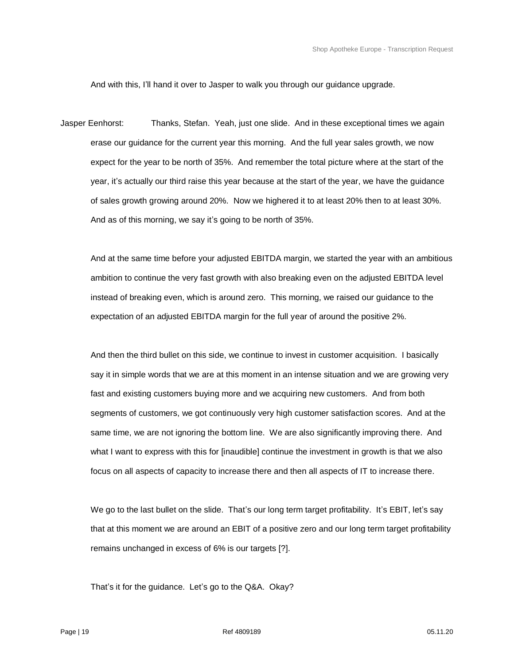And with this, I'll hand it over to Jasper to walk you through our guidance upgrade.

Jasper Eenhorst: Thanks, Stefan. Yeah, just one slide. And in these exceptional times we again erase our guidance for the current year this morning. And the full year sales growth, we now expect for the year to be north of 35%. And remember the total picture where at the start of the year, it's actually our third raise this year because at the start of the year, we have the guidance of sales growth growing around 20%. Now we highered it to at least 20% then to at least 30%. And as of this morning, we say it's going to be north of 35%.

And at the same time before your adjusted EBITDA margin, we started the year with an ambitious ambition to continue the very fast growth with also breaking even on the adjusted EBITDA level instead of breaking even, which is around zero. This morning, we raised our guidance to the expectation of an adjusted EBITDA margin for the full year of around the positive 2%.

And then the third bullet on this side, we continue to invest in customer acquisition. I basically say it in simple words that we are at this moment in an intense situation and we are growing very fast and existing customers buying more and we acquiring new customers. And from both segments of customers, we got continuously very high customer satisfaction scores. And at the same time, we are not ignoring the bottom line. We are also significantly improving there. And what I want to express with this for [inaudible] continue the investment in growth is that we also focus on all aspects of capacity to increase there and then all aspects of IT to increase there.

We go to the last bullet on the slide. That's our long term target profitability. It's EBIT, let's say that at this moment we are around an EBIT of a positive zero and our long term target profitability remains unchanged in excess of 6% is our targets [?].

That's it for the guidance. Let's go to the Q&A. Okay?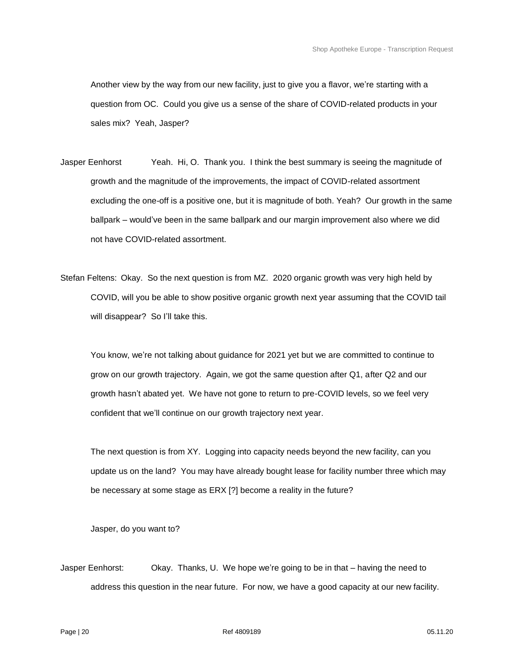Another view by the way from our new facility, just to give you a flavor, we're starting with a question from OC. Could you give us a sense of the share of COVID-related products in your sales mix? Yeah, Jasper?

- Jasper Eenhorst Yeah. Hi, O. Thank you. I think the best summary is seeing the magnitude of growth and the magnitude of the improvements, the impact of COVID-related assortment excluding the one-off is a positive one, but it is magnitude of both. Yeah? Our growth in the same ballpark – would've been in the same ballpark and our margin improvement also where we did not have COVID-related assortment.
- Stefan Feltens: Okay. So the next question is from MZ. 2020 organic growth was very high held by COVID, will you be able to show positive organic growth next year assuming that the COVID tail will disappear? So I'll take this.

You know, we're not talking about guidance for 2021 yet but we are committed to continue to grow on our growth trajectory. Again, we got the same question after Q1, after Q2 and our growth hasn't abated yet. We have not gone to return to pre-COVID levels, so we feel very confident that we'll continue on our growth trajectory next year.

The next question is from XY. Logging into capacity needs beyond the new facility, can you update us on the land? You may have already bought lease for facility number three which may be necessary at some stage as ERX [?] become a reality in the future?

Jasper, do you want to?

Jasper Eenhorst: Okay. Thanks, U. We hope we're going to be in that – having the need to address this question in the near future. For now, we have a good capacity at our new facility.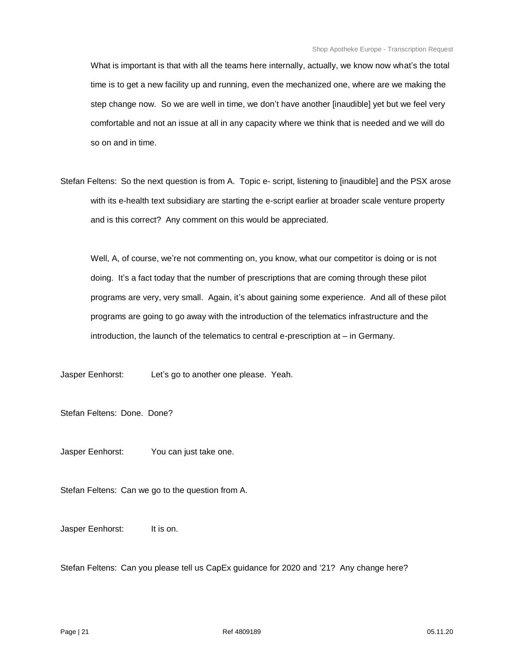What is important is that with all the teams here internally, actually, we know now what's the total time is to get a new facility up and running, even the mechanized one, where are we making the step change now. So we are well in time, we don't have another [inaudible] yet but we feel very comfortable and not an issue at all in any capacity where we think that is needed and we will do so on and in time.

Stefan Feltens: So the next question is from A. Topic e- script, listening to [inaudible] and the PSX arose with its e-health text subsidiary are starting the e-script earlier at broader scale venture property and is this correct? Any comment on this would be appreciated.

Well, A, of course, we're not commenting on, you know, what our competitor is doing or is not doing. It's a fact today that the number of prescriptions that are coming through these pilot programs are very, very small. Again, it's about gaining some experience. And all of these pilot programs are going to go away with the introduction of the telematics infrastructure and the introduction, the launch of the telematics to central e-prescription at – in Germany.

Jasper Eenhorst: Let's go to another one please. Yeah.

Stefan Feltens: Done. Done?

Jasper Eenhorst: You can just take one.

Stefan Feltens: Can we go to the question from A.

Jasper Eenhorst: It is on.

Stefan Feltens: Can you please tell us CapEx guidance for 2020 and '21? Any change here?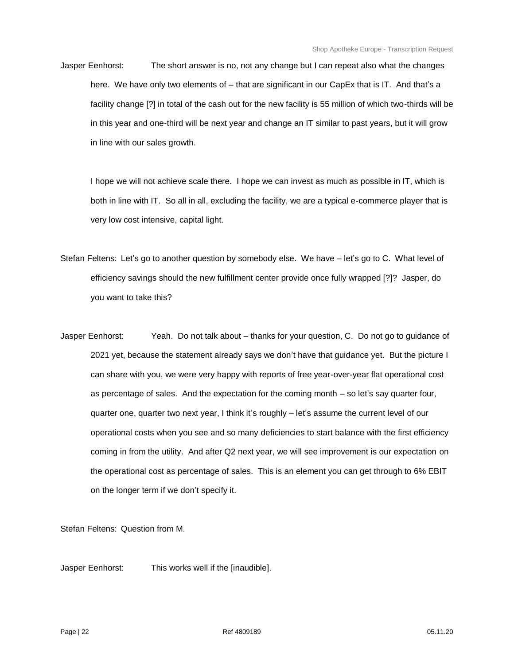Jasper Eenhorst: The short answer is no, not any change but I can repeat also what the changes here. We have only two elements of – that are significant in our CapEx that is IT. And that's a facility change [?] in total of the cash out for the new facility is 55 million of which two-thirds will be in this year and one-third will be next year and change an IT similar to past years, but it will grow in line with our sales growth.

I hope we will not achieve scale there. I hope we can invest as much as possible in IT, which is both in line with IT. So all in all, excluding the facility, we are a typical e-commerce player that is very low cost intensive, capital light.

- Stefan Feltens: Let's go to another question by somebody else. We have let's go to C. What level of efficiency savings should the new fulfillment center provide once fully wrapped [?]? Jasper, do you want to take this?
- Jasper Eenhorst: Yeah. Do not talk about thanks for your question, C. Do not go to guidance of 2021 yet, because the statement already says we don't have that guidance yet. But the picture I can share with you, we were very happy with reports of free year-over-year flat operational cost as percentage of sales. And the expectation for the coming month – so let's say quarter four, quarter one, quarter two next year, I think it's roughly – let's assume the current level of our operational costs when you see and so many deficiencies to start balance with the first efficiency coming in from the utility. And after Q2 next year, we will see improvement is our expectation on the operational cost as percentage of sales. This is an element you can get through to 6% EBIT on the longer term if we don't specify it.

Stefan Feltens: Question from M.

Jasper Eenhorst: This works well if the [inaudible].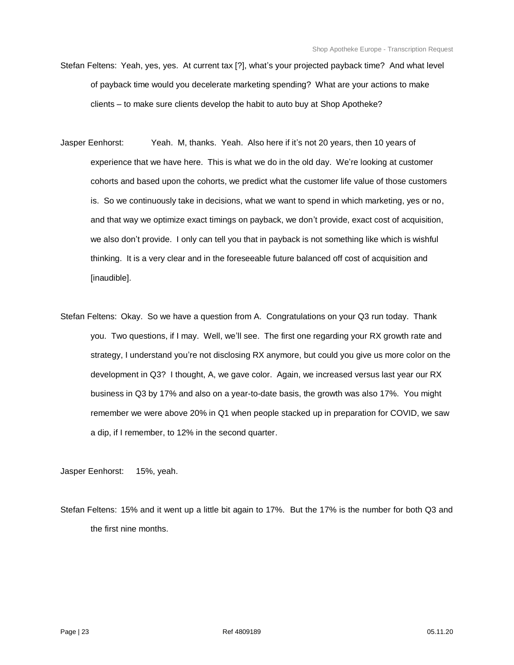- Stefan Feltens: Yeah, yes, yes. At current tax [?], what's your projected payback time? And what level of payback time would you decelerate marketing spending? What are your actions to make clients – to make sure clients develop the habit to auto buy at Shop Apotheke?
- Jasper Eenhorst: Yeah. M, thanks. Yeah. Also here if it's not 20 years, then 10 years of experience that we have here. This is what we do in the old day. We're looking at customer cohorts and based upon the cohorts, we predict what the customer life value of those customers is. So we continuously take in decisions, what we want to spend in which marketing, yes or no, and that way we optimize exact timings on payback, we don't provide, exact cost of acquisition, we also don't provide. I only can tell you that in payback is not something like which is wishful thinking. It is a very clear and in the foreseeable future balanced off cost of acquisition and [inaudible].
- Stefan Feltens: Okay. So we have a question from A. Congratulations on your Q3 run today. Thank you. Two questions, if I may. Well, we'll see. The first one regarding your RX growth rate and strategy, I understand you're not disclosing RX anymore, but could you give us more color on the development in Q3? I thought, A, we gave color. Again, we increased versus last year our RX business in Q3 by 17% and also on a year-to-date basis, the growth was also 17%. You might remember we were above 20% in Q1 when people stacked up in preparation for COVID, we saw a dip, if I remember, to 12% in the second quarter.

Jasper Eenhorst: 15%, yeah.

Stefan Feltens: 15% and it went up a little bit again to 17%. But the 17% is the number for both Q3 and the first nine months.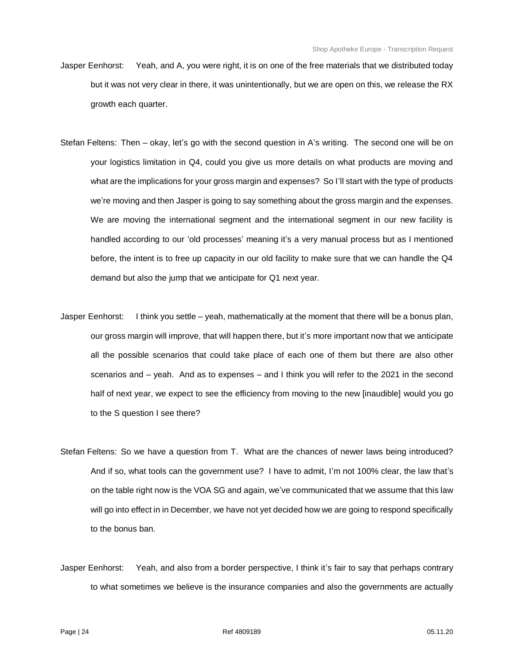- Jasper Eenhorst: Yeah, and A, you were right, it is on one of the free materials that we distributed today but it was not very clear in there, it was unintentionally, but we are open on this, we release the RX growth each quarter.
- Stefan Feltens: Then okay, let's go with the second question in A's writing. The second one will be on your logistics limitation in Q4, could you give us more details on what products are moving and what are the implications for your gross margin and expenses? So I'll start with the type of products we're moving and then Jasper is going to say something about the gross margin and the expenses. We are moving the international segment and the international segment in our new facility is handled according to our 'old processes' meaning it's a very manual process but as I mentioned before, the intent is to free up capacity in our old facility to make sure that we can handle the Q4 demand but also the jump that we anticipate for Q1 next year.
- Jasper Eenhorst: I think you settle yeah, mathematically at the moment that there will be a bonus plan, our gross margin will improve, that will happen there, but it's more important now that we anticipate all the possible scenarios that could take place of each one of them but there are also other scenarios and – yeah. And as to expenses – and I think you will refer to the 2021 in the second half of next year, we expect to see the efficiency from moving to the new [inaudible] would you go to the S question I see there?
- Stefan Feltens: So we have a question from T. What are the chances of newer laws being introduced? And if so, what tools can the government use? I have to admit, I'm not 100% clear, the law that's on the table right now is the VOA SG and again, we've communicated that we assume that this law will go into effect in in December, we have not yet decided how we are going to respond specifically to the bonus ban.
- Jasper Eenhorst: Yeah, and also from a border perspective, I think it's fair to say that perhaps contrary to what sometimes we believe is the insurance companies and also the governments are actually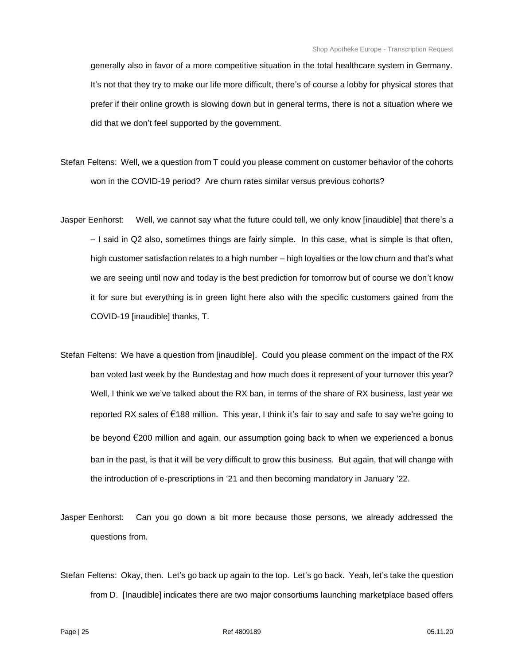generally also in favor of a more competitive situation in the total healthcare system in Germany. It's not that they try to make our life more difficult, there's of course a lobby for physical stores that prefer if their online growth is slowing down but in general terms, there is not a situation where we did that we don't feel supported by the government.

- Stefan Feltens: Well, we a question from T could you please comment on customer behavior of the cohorts won in the COVID-19 period? Are churn rates similar versus previous cohorts?
- Jasper Eenhorst: Well, we cannot say what the future could tell, we only know [inaudible] that there's a – I said in Q2 also, sometimes things are fairly simple. In this case, what is simple is that often, high customer satisfaction relates to a high number – high loyalties or the low churn and that's what we are seeing until now and today is the best prediction for tomorrow but of course we don't know it for sure but everything is in green light here also with the specific customers gained from the COVID-19 [inaudible] thanks, T.
- Stefan Feltens: We have a question from [inaudible]. Could you please comment on the impact of the RX ban voted last week by the Bundestag and how much does it represent of your turnover this year? Well, I think we we've talked about the RX ban, in terms of the share of RX business, last year we reported RX sales of  $\epsilon$ 188 million. This year, I think it's fair to say and safe to say we're going to be beyond €200 million and again, our assumption going back to when we experienced a bonus ban in the past, is that it will be very difficult to grow this business. But again, that will change with the introduction of e-prescriptions in '21 and then becoming mandatory in January '22.
- Jasper Eenhorst: Can you go down a bit more because those persons, we already addressed the questions from.
- Stefan Feltens: Okay, then. Let's go back up again to the top. Let's go back. Yeah, let's take the question from D. [Inaudible] indicates there are two major consortiums launching marketplace based offers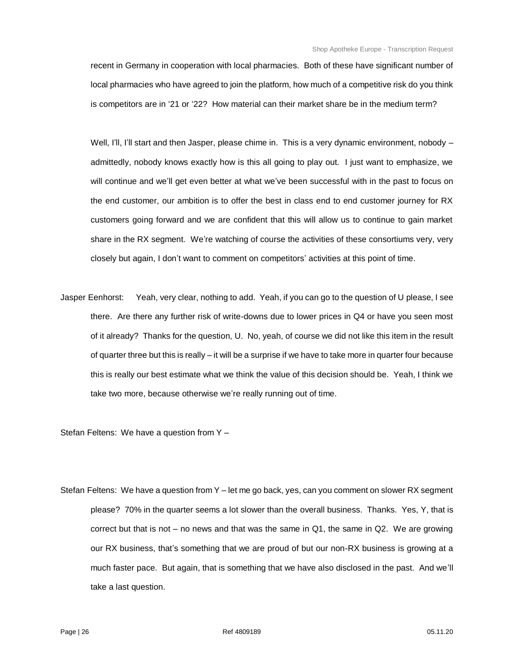recent in Germany in cooperation with local pharmacies. Both of these have significant number of local pharmacies who have agreed to join the platform, how much of a competitive risk do you think is competitors are in '21 or '22? How material can their market share be in the medium term?

Well, I'll, I'll start and then Jasper, please chime in. This is a very dynamic environment, nobody admittedly, nobody knows exactly how is this all going to play out. I just want to emphasize, we will continue and we'll get even better at what we've been successful with in the past to focus on the end customer, our ambition is to offer the best in class end to end customer journey for RX customers going forward and we are confident that this will allow us to continue to gain market share in the RX segment. We're watching of course the activities of these consortiums very, very closely but again, I don't want to comment on competitors' activities at this point of time.

Jasper Eenhorst: Yeah, very clear, nothing to add. Yeah, if you can go to the question of U please, I see there. Are there any further risk of write-downs due to lower prices in Q4 or have you seen most of it already? Thanks for the question, U. No, yeah, of course we did not like this item in the result of quarter three but this is really –it will be a surprise if we have to take more in quarter four because this is really our best estimate what we think the value of this decision should be. Yeah, I think we take two more, because otherwise we're really running out of time.

Stefan Feltens: We have a question from Y –

Stefan Feltens: We have a question from Y – let me go back, yes, can you comment on slower RX segment please? 70% in the quarter seems a lot slower than the overall business. Thanks. Yes, Y, that is correct but that is not – no news and that was the same in Q1, the same in Q2. We are growing our RX business, that's something that we are proud of but our non-RX business is growing at a much faster pace. But again, that is something that we have also disclosed in the past. And we'll take a last question.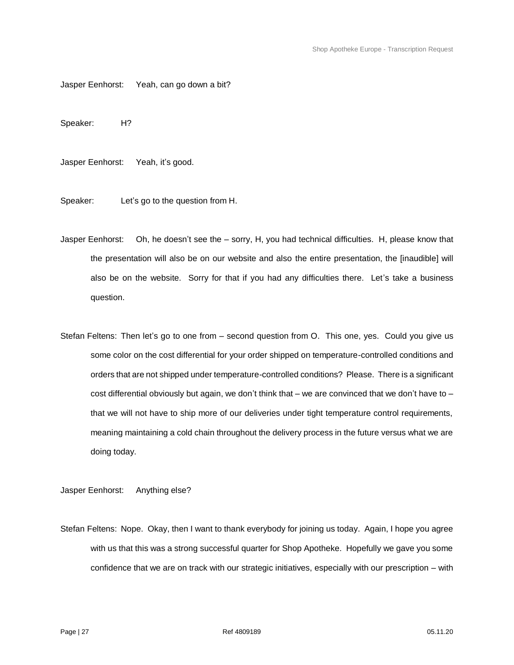Jasper Eenhorst: Yeah, can go down a bit?

Speaker: H?

Jasper Eenhorst: Yeah, it's good.

Speaker: Let's go to the question from H.

Jasper Eenhorst: Oh, he doesn't see the – sorry, H, you had technical difficulties. H, please know that the presentation will also be on our website and also the entire presentation, the [inaudible] will also be on the website. Sorry for that if you had any difficulties there. Let's take a business question.

Stefan Feltens: Then let's go to one from – second question from O. This one, yes. Could you give us some color on the cost differential for your order shipped on temperature-controlled conditions and orders that are not shipped under temperature-controlled conditions? Please. There is a significant cost differential obviously but again, we don't think that  $-$  we are convinced that we don't have to  $$ that we will not have to ship more of our deliveries under tight temperature control requirements, meaning maintaining a cold chain throughout the delivery process in the future versus what we are doing today.

Jasper Eenhorst: Anything else?

Stefan Feltens: Nope. Okay, then I want to thank everybody for joining us today. Again, I hope you agree with us that this was a strong successful quarter for Shop Apotheke. Hopefully we gave you some confidence that we are on track with our strategic initiatives, especially with our prescription – with